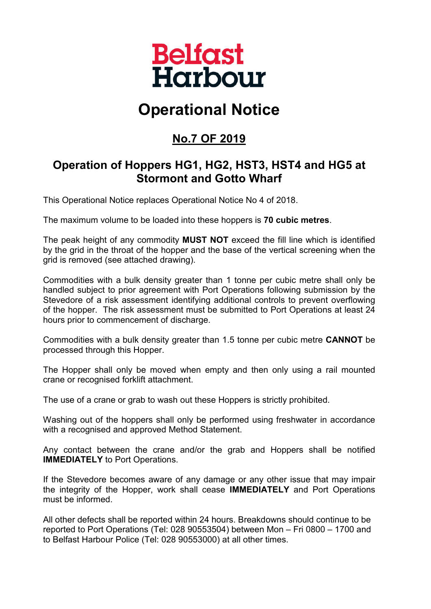

# **Operational Notice**

## **No.7 OF 2019**

#### **Operation of Hoppers HG1, HG2, HST3, HST4 and HG5 at Stormont and Gotto Wharf**

This Operational Notice replaces Operational Notice No 4 of 2018.

The maximum volume to be loaded into these hoppers is **70 cubic metres**.

The peak height of any commodity **MUST NOT** exceed the fill line which is identified by the grid in the throat of the hopper and the base of the vertical screening when the grid is removed (see attached drawing).

Commodities with a bulk density greater than 1 tonne per cubic metre shall only be handled subject to prior agreement with Port Operations following submission by the Stevedore of a risk assessment identifying additional controls to prevent overflowing of the hopper. The risk assessment must be submitted to Port Operations at least 24 hours prior to commencement of discharge.

Commodities with a bulk density greater than 1.5 tonne per cubic metre **CANNOT** be processed through this Hopper.

The Hopper shall only be moved when empty and then only using a rail mounted crane or recognised forklift attachment.

The use of a crane or grab to wash out these Hoppers is strictly prohibited.

Washing out of the hoppers shall only be performed using freshwater in accordance with a recognised and approved Method Statement.

Any contact between the crane and/or the grab and Hoppers shall be notified **IMMEDIATELY** to Port Operations.

If the Stevedore becomes aware of any damage or any other issue that may impair the integrity of the Hopper, work shall cease **IMMEDIATELY** and Port Operations must be informed.

All other defects shall be reported within 24 hours. Breakdowns should continue to be reported to Port Operations (Tel: 028 90553504) between Mon – Fri 0800 – 1700 and to Belfast Harbour Police (Tel: 028 90553000) at all other times.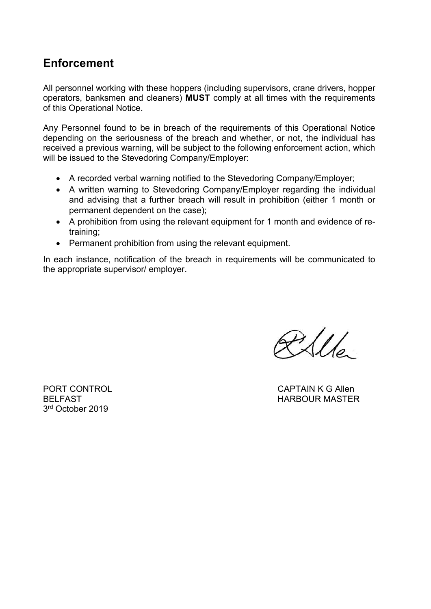### **Enforcement**

All personnel working with these hoppers (including supervisors, crane drivers, hopper operators, banksmen and cleaners) **MUST** comply at all times with the requirements of this Operational Notice.

Any Personnel found to be in breach of the requirements of this Operational Notice depending on the seriousness of the breach and whether, or not, the individual has received a previous warning, will be subject to the following enforcement action, which will be issued to the Stevedoring Company/Employer:

- A recorded verbal warning notified to the Stevedoring Company/Employer;
- A written warning to Stevedoring Company/Employer regarding the individual and advising that a further breach will result in prohibition (either 1 month or permanent dependent on the case);
- A prohibition from using the relevant equipment for 1 month and evidence of retraining;
- Permanent prohibition from using the relevant equipment.

In each instance, notification of the breach in requirements will be communicated to the appropriate supervisor/ employer.

 $P_2$ 

3rd October 2019

PORT CONTROL CAPTAIN K G Allen BELFAST NARBOUR MASTER